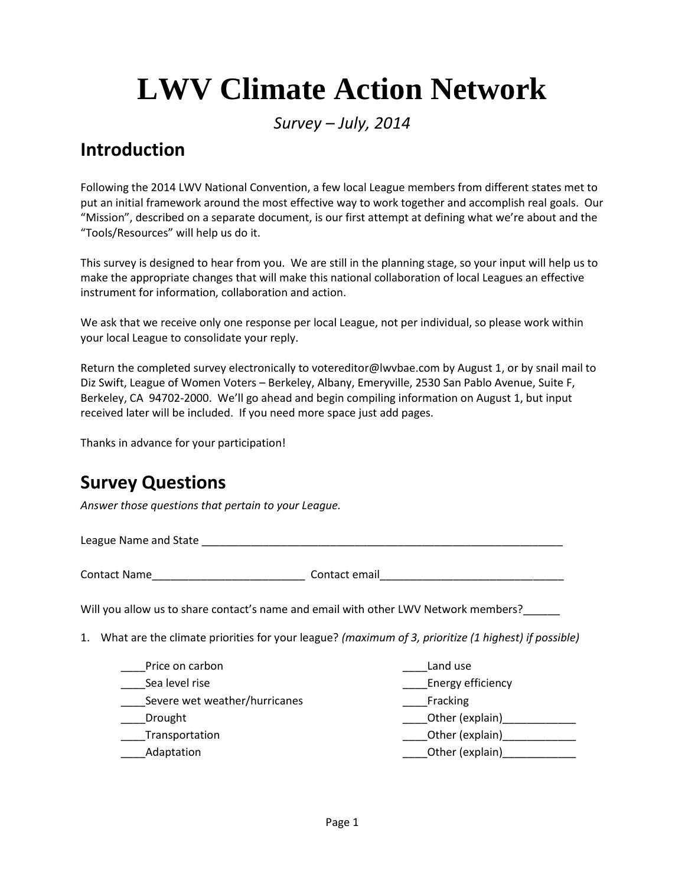## **LWV Climate Action Network**

*Survey – July, 2014*

## **Introduction**

Following the 2014 LWV National Convention, a few local League members from different states met to put an initial framework around the most effective way to work together and accomplish real goals. Our "Mission", described on a separate document, is our first attempt at defining what we're about and the "Tools/Resources" will help us do it.

This survey is designed to hear from you. We are still in the planning stage, so your input will help us to make the appropriate changes that will make this national collaboration of local Leagues an effective instrument for information, collaboration and action.

We ask that we receive only one response per local League, not per individual, so please work within your local League to consolidate your reply.

Return the completed survey electronically to votereditor@lwvbae.com by August 1, or by snail mail to Diz Swift, League of Women Voters – Berkeley, Albany, Emeryville, 2530 San Pablo Avenue, Suite F, Berkeley, CA 94702-2000. We'll go ahead and begin compiling information on August 1, but input received later will be included. If you need more space just add pages.

Thanks in advance for your participation!

## **Survey Questions**

*Answer those questions that pertain to your League.*

League Name and State \_\_\_\_\_\_\_\_\_\_\_\_\_\_\_\_\_\_\_\_\_\_\_\_\_\_\_\_\_\_\_\_\_\_\_\_\_\_\_\_\_\_\_\_\_\_\_\_\_\_\_\_\_\_\_\_\_\_\_

|  | <b>Contact Name</b> |  |
|--|---------------------|--|
|--|---------------------|--|

Contact email

Will you allow us to share contact's name and email with other LWV Network members?\_\_\_\_

1. What are the climate priorities for your league? *(maximum of 3, prioritize (1 highest) if possible)*

| Price on carbon               | Land use          |
|-------------------------------|-------------------|
| Sea level rise                | Energy efficiency |
| Severe wet weather/hurricanes | Fracking          |
| Drought                       | Other (explain)   |
| Transportation                | Other (explain)   |
| Adaptation                    | Other (explain)   |